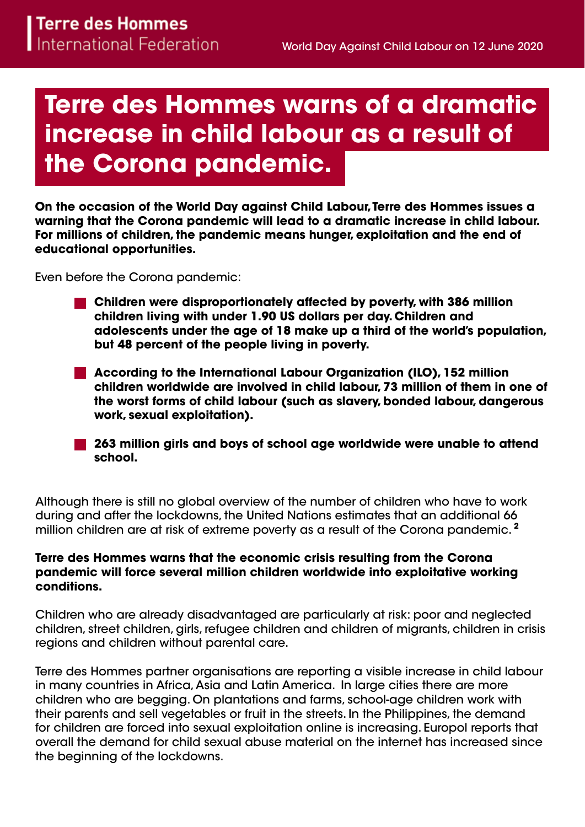# **Terre des Hommes warns of a dramatic increase in child labour as a result of the Corona pandemic.**

**On the occasion of the World Day against Child Labour, Terre des Hommes issues a warning that the Corona pandemic will lead to a dramatic increase in child labour. For millions of children, the pandemic means hunger, exploitation and the end of educational opportunities.**

Even before the Corona pandemic:

- **Children were disproportionately affected by poverty, with 386 million children living with under 1.90 US dollars per day. Children and adolescents under the age of 18 make up a third of the world's population, but 48 percent of the people living in poverty.**
- **According to the International Labour Organization (ILO), 152 million children worldwide are involved in child labour, 73 million of them in one of the worst forms of child labour (such as slavery, bonded labour, dangerous work, sexual exploitation).**
- **263 million girls and boys of school age worldwide were unable to attend school.**

Although there is still no global overview of the number of children who have to work during and after the lockdowns, the United Nations estimates that an additional 66 million children are at risk of extreme poverty as a result of the Corona pandemic. **<sup>2</sup>**

#### **Terre des Hommes warns that the economic crisis resulting from the Corona pandemic will force several million children worldwide into exploitative working conditions.**

Children who are already disadvantaged are particularly at risk: poor and neglected children, street children, girls, refugee children and children of migrants, children in crisis regions and children without parental care.

Terre des Hommes partner organisations are reporting a visible increase in child labour in many countries in Africa, Asia and Latin America. In large cities there are more children who are begging. On plantations and farms, school-age children work with their parents and sell vegetables or fruit in the streets. In the Philippines, the demand for children are forced into sexual exploitation online is increasing. Europol reports that overall the demand for child sexual abuse material on the internet has increased since the beginning of the lockdowns.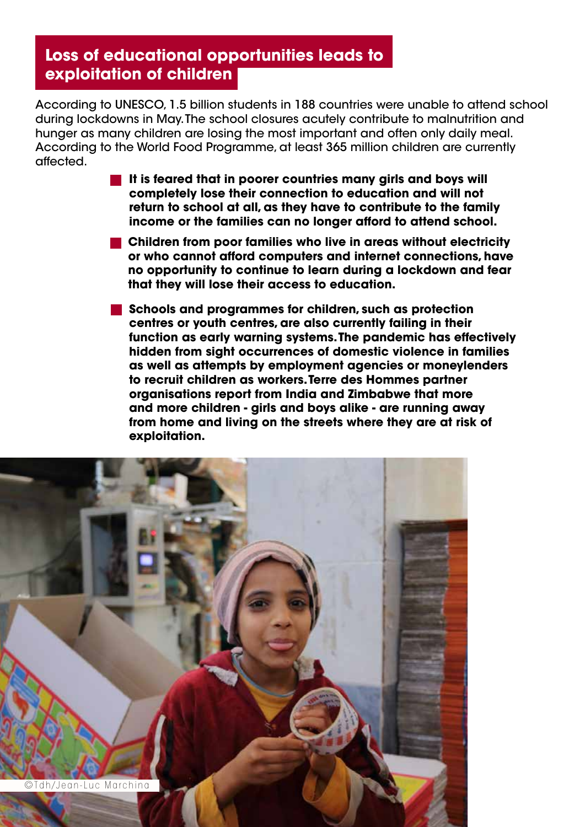# **Loss of educational opportunities leads to exploitation of children**

According to UNESCO, 1.5 billion students in 188 countries were unable to attend school during lockdowns in May. The school closures acutely contribute to malnutrition and hunger as many children are losing the most important and often only daily meal. According to the World Food Programme, at least 365 million children are currently affected.

- **It is feared that in poorer countries many girls and boys will completely lose their connection to education and will not return to school at all, as they have to contribute to the family income or the families can no longer afford to attend school.**
- **Children from poor families who live in areas without electricity or who cannot afford computers and internet connections, have no opportunity to continue to learn during a lockdown and fear that they will lose their access to education.**
- **Schools and programmes for children, such as protection centres or youth centres, are also currently failing in their function as early warning systems. The pandemic has effectively hidden from sight occurrences of domestic violence in families as well as attempts by employment agencies or moneylenders to recruit children as workers. Terre des Hommes partner organisations report from India and Zimbabwe that more and more children - girls and boys alike - are running away from home and living on the streets where they are at risk of exploitation.**

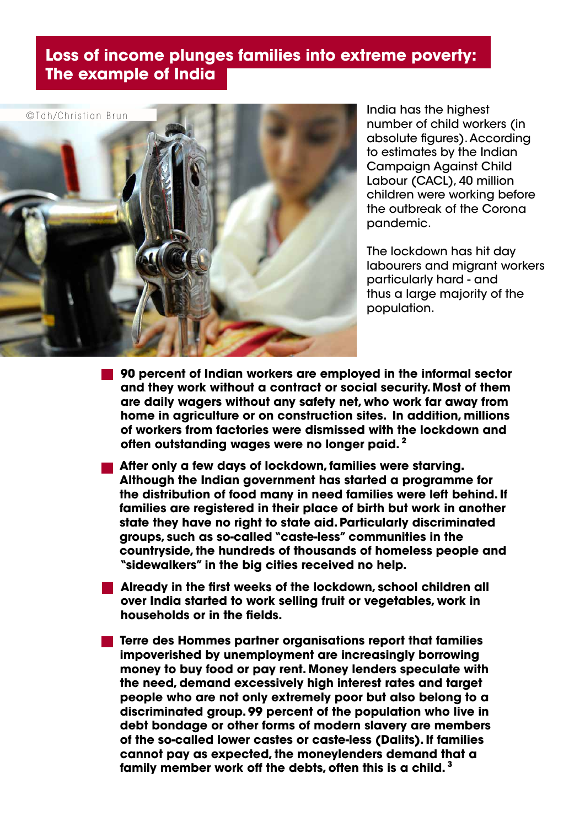## **Loss of income plunges families into extreme poverty: The example of India**



India has the highest number of child workers (in absolute figures). According to estimates by the Indian Campaign Against Child Labour (CACL), 40 million children were working before the outbreak of the Corona pandemic.

The lockdown has hit day labourers and migrant workers particularly hard - and thus a large majority of the population.

- **90 percent of Indian workers are employed in the informal sector and they work without a contract or social security. Most of them are daily wagers without any safety net, who work far away from home in agriculture or on construction sites. In addition, millions of workers from factories were dismissed with the lockdown and often outstanding wages were no longer paid. <sup>2</sup>**
- **After only a few days of lockdown, families were starving. Although the Indian government has started a programme for the distribution of food many in need families were left behind. If families are registered in their place of birth but work in another state they have no right to state aid. Particularly discriminated groups, such as so-called "caste-less" communities in the countryside, the hundreds of thousands of homeless people and "sidewalkers" in the big cities received no help.**
- **Already in the first weeks of the lockdown, school children all over India started to work selling fruit or vegetables, work in households or in the fields.**
- **Terre des Hommes partner organisations report that families impoverished by unemployment are increasingly borrowing money to buy food or pay rent. Money lenders speculate with the need, demand excessively high interest rates and target people who are not only extremely poor but also belong to a discriminated group. 99 percent of the population who live in debt bondage or other forms of modern slavery are members of the so-called lower castes or caste-less (Dalits). If families cannot pay as expected, the moneylenders demand that a family member work off the debts, often this is a child. <sup>3</sup>**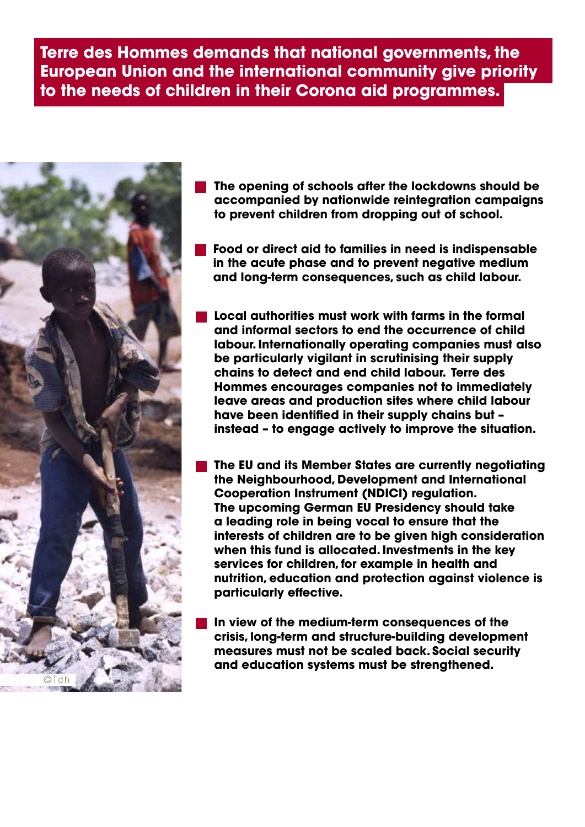### **Terre des Hommes demands that national governments, the European Union and the international community give priority to the needs of children in their Corona aid programmes.**



- **The opening of schools after the lockdowns should be accompanied by nationwide reintegration campaigns to prevent children from dropping out of school.**
- **Food or direct aid to families in need is indispensable in the acute phase and to prevent negative medium and long-term consequences, such as child labour.**
- **Local authorities must work with farms in the formal and informal sectors to end the occurrence of child labour. Internationally operating companies must also be particularly vigilant in scrutinising their supply chains to detect and end child labour. Terre des Hommes encourages companies not to immediately leave areas and production sites where child labour have been identified in their supply chains but – instead – to engage actively to improve the situation.**
- **The EU and its Member States are currently negotiating the Neighbourhood, Development and International Cooperation Instrument (NDICI) regulation. The upcoming German EU Presidency should take a leading role in being vocal to ensure that the interests of children are to be given high consideration when this fund is allocated. Investments in the key services for children, for example in health and nutrition, education and protection against violence is particularly effective.**
- **In view of the medium-term consequences of the crisis, long-term and structure-building development measures must not be scaled back. Social security and education systems must be strengthened.**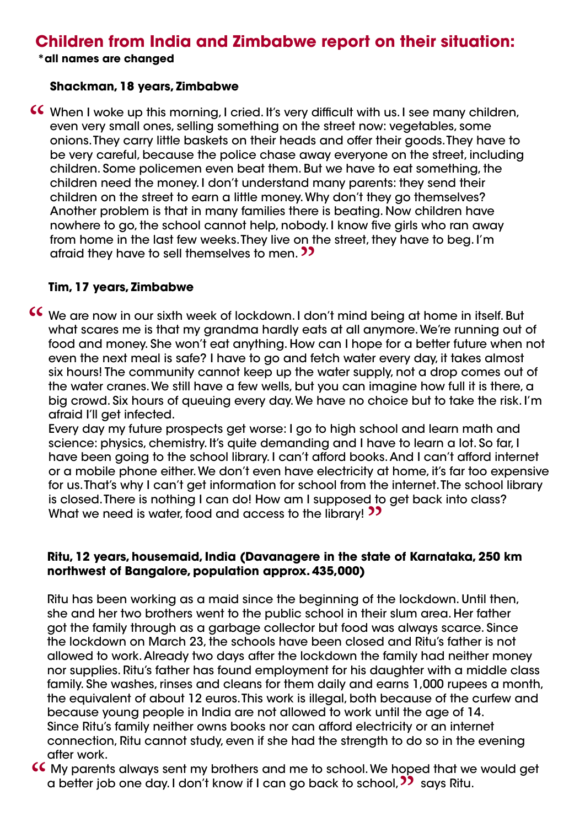## **Children from India and Zimbabwe report on their situation:**

**\*all names are changed**

#### **Shackman, 18 years, Zimbabwe**

**o**" afraid they have to sell themselves to men. CC When I woke up this morning, I cried. It's very difficult with us. I see many children,<br>even very small ones, selling something on the street now: vegetables, some<br>onions. They carry little baskets on their heads and of even very small ones, selling something on the street now: vegetables, some onions. They carry little baskets on their heads and offer their goods. They have to be very careful, because the police chase away everyone on the street, including children. Some policemen even beat them. But we have to eat something, the children need the money. I don't understand many parents: they send their children on the street to earn a little money. Why don't they go themselves? Another problem is that in many families there is beating. Now children have nowhere to go, the school cannot help, nobody. I know five girls who ran away from home in the last few weeks. They live on the street, they have to beg. I'm

#### **Tim, 17 years, Zimbabwe**

We are now in our sixth week of lockdown. I don't mind being at home in itself. But<br>what scares me is that my grandma hardly eats at all anymore. We're running out of<br>food and money. She won't eat anything. How can I hope what scares me is that my grandma hardly eats at all anymore. We're running out of food and money. She won't eat anything. How can I hope for a better future when not even the next meal is safe? I have to go and fetch water every day, it takes almost six hours! The community cannot keep up the water supply, not a drop comes out of the water cranes. We still have a few wells, but you can imagine how full it is there, a big crowd. Six hours of queuing every day. We have no choice but to take the risk. I'm afraid I'll get infected.

What we need is water, food and access to the library! <sup>33</sup> Every day my future prospects get worse: I go to high school and learn math and science: physics, chemistry. It's quite demanding and I have to learn a lot. So far, I have been going to the school library. I can't afford books. And I can't afford internet or a mobile phone either. We don't even have electricity at home, it's far too expensive for us. That's why I can't get information for school from the internet. The school library is closed. There is nothing I can do! How am I supposed to get back into class?

#### **Ritu, 12 years, housemaid, India (Davanagere in the state of Karnataka, 250 km northwest of Bangalore, population approx. 435,000)**

Ritu has been working as a maid since the beginning of the lockdown. Until then, she and her two brothers went to the public school in their slum area. Her father got the family through as a garbage collector but food was always scarce. Since the lockdown on March 23, the schools have been closed and Ritu's father is not allowed to work. Already two days after the lockdown the family had neither money nor supplies. Ritu's father has found employment for his daughter with a middle class family. She washes, rinses and cleans for them daily and earns 1,000 rupees a month, the equivalent of about 12 euros. This work is illegal, both because of the curfew and because young people in India are not allowed to work until the age of 14. Since Ritu's family neither owns books nor can afford electricity or an internet connection, Ritu cannot study, even if she had the strength to do so in the evening after work.

a better job one day. I don't know if I can go back to school, **22** says Ritu. CC My parents always sent my brothers and me to school. We hoped that we would get a better job one day. I don't know if I can go back to school, 22 says Ritu.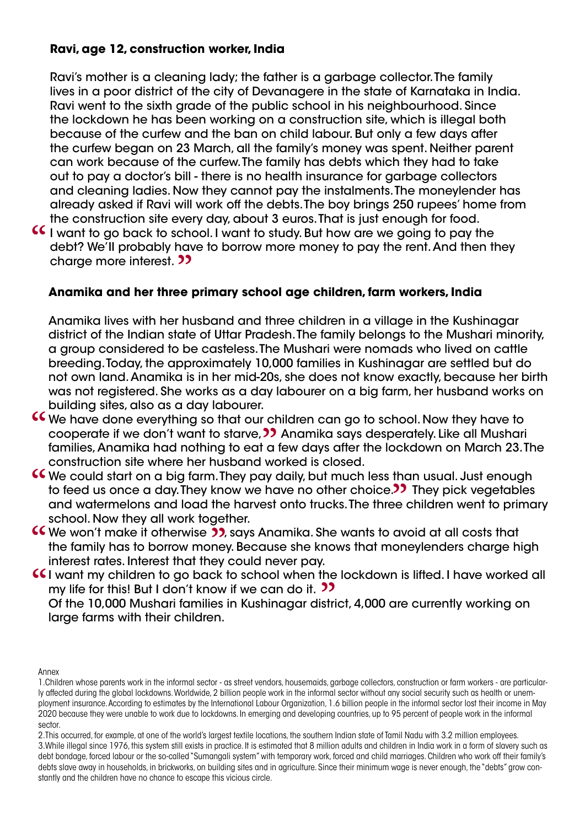### **Ravi, age 12, construction worker, India**

Ravi's mother is a cleaning lady; the father is a garbage collector. The family lives in a poor district of the city of Devanagere in the state of Karnataka in India. Ravi went to the sixth grade of the public school in his neighbourhood. Since the lockdown he has been working on a construction site, which is illegal both because of the curfew and the ban on child labour. But only a few days after the curfew began on 23 March, all the family's money was spent. Neither parent can work because of the curfew. The family has debts which they had to take out to pay a doctor's bill - there is no health insurance for garbage collectors and cleaning ladies. Now they cannot pay the instalments. The moneylender has already asked if Ravi will work off the debts. The boy brings 250 rupees' home from the construction site every day, about 3 euros. That is just enough for food.

charge more interest. 22<br>**Anamika and her three I** want to go back to school. I want to study. But how are we going to pay the debt? We'll probably have to borrow more money to pay the rent. And then the charge more interest 2 debt? We'II probably have to borrow more money to pay the rent. And then they

### **Anamika and her three primary school age children, farm workers, India**

Anamika lives with her husband and three children in a village in the Kushinagar district of the Indian state of Uttar Pradesh. The family belongs to the Mushari minority, a group considered to be casteless. The Mushari were nomads who lived on cattle breeding. Today, the approximately 10,000 families in Kushinagar are settled but do not own land. Anamika is in her mid-20s, she does not know exactly, because her birth was not registered. She works as a day labourer on a big farm, her husband works on building sites, also as a day labourer.

- cooperate if we don't want to starve, 22 Anamika says<br>families, Anamika had nothing to eat a few days after t<br>construction site where her husband worked is closed. CC We have done everything so that our children can go to school. Now they have to<br>cooperate if we don't want to starve, 22 Anamika says desperately. Like all Mushari<br>families Anamika had nothing to eat a few days after th cooperate if we don't want to starve, **22** Anamika says desperately. Like all Mushari families, Anamika had nothing to eat a few days after the lockdown on March 23. The
- oice.**??**<br>De three C We could start on a big farm. They pay daily, but much less than usual. Just enough<br>to feed us once a day. They know we have no other choice.<br>O They pick vegetables<br>and watermelons and load the harvest onto trucks. The t to feed us once a day. They know we have no other choice. **I** They pick vegetables and watermelons and load the harvest onto trucks. The three children went to primary school. Now they all work together.
- **CC** We won't make it otherwise 22, says Anamika. She wants to avoid at all costs that the family has to borrow money. Because she knows that moneylenders charge his interest rates. Interest that they could never pay. the family has to borrow money. Because she knows that moneylenders charge high interest rates. Interest that they could never pay.
- **I want my children to go back to school when the lockdown is lifted. I have worked all my life for this! But I don't know if we can do it. ??**<br>Of the 10.000 Mushari families in Kushinggar district. 4.000 are currently wor

my life for this! But I don't know if we can do it. 22<br>Of the 10,000 Mushari families in Kushinagar distr<br>large farms with their children. Of the 10,000 Mushari families in Kushinagar district, 4,000 are currently working on large farms with their children.

Annex

2.This occurred, for example, at one of the world's largest textile locations, the southern Indian state of Tamil Nadu with 3.2 million employees. 3.While illegal since 1976, this system still exists in practice. It is estimated that 8 million adults and children in India work in a form of slavery such as debt bondage, forced labour or the so-called "Sumangali system" with temporary work, forced and child marriages. Children who work off their family's debts slave away in households, in brickworks, on building sites and in agriculture. Since their minimum wage is never enough, the "debts" grow constantly and the children have no chance to escape this vicious circle.

<sup>1.</sup>Children whose parents work in the informal sector - as street vendors, housemaids, garbage collectors, construction or farm workers - are particularly affected during the global lockdowns. Worldwide, 2 billion people work in the informal sector without any social security such as health or unemployment insurance. According to estimates by the International Labour Organization, 1.6 billion people in the informal sector lost their income in May 2020 because they were unable to work due to lockdowns. In emerging and developing countries, up to 95 percent of people work in the informal sector.